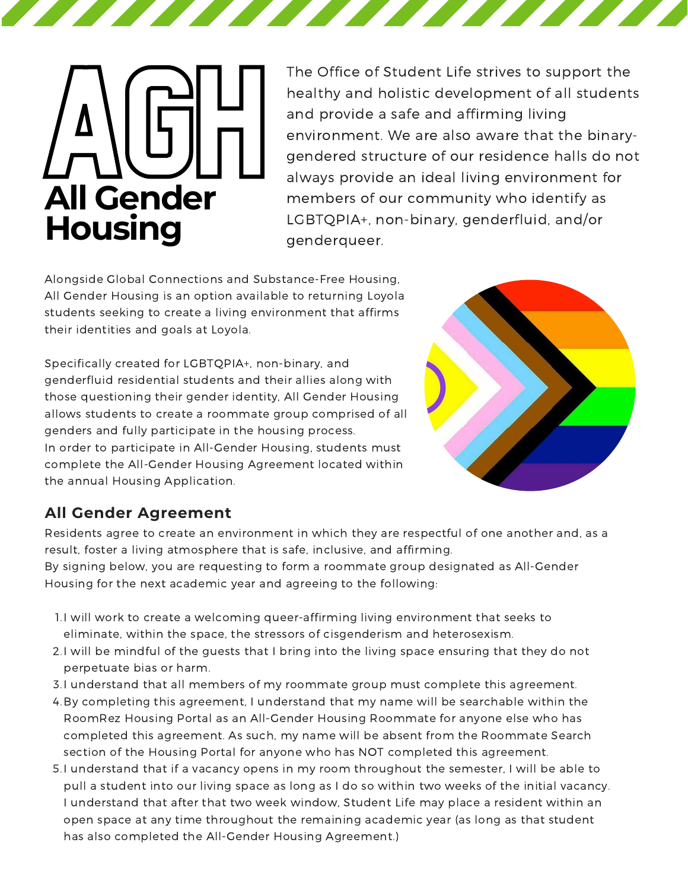

The Office of Student Life strives to support the healthy and holistic development of all students and provide a safe and affirming living environment. We are also aware that the binarygendered structure of our residence halls do not always provide an ideal living environment for members of our community who identify as LGBTQPIA+, non-binary, genderfluid, and/or genderqueer.

Alongside Global Connections and Substance-Free Housing, All Gender Housing is an option available to returning Loyola students seeking to create a living environment that affirms their identities and goals at Loyola.

Specifically created for LGBTQPIA+, non-binary, and genderfluid residential students and their allies along with those questioning their gender identity, All Gender Housing allows students to create a roommate group comprised of all genders and fully participate in the housing process. In order to participate in All-Gender Housing, students must complete the All-Gender Housing Agreement located within the annual Housing Application.



## **All Gender Agreement**

Residents agree to create an environment in which they are respectful of one another and, as a result, foster a living atmosphere that is safe, inclusive, and affirming.

By signing below, you are requesting to form a roommate group designated as All-Gender Housing for the next academic year and agreeing to the following:

- 1.I will work to create a welcoming queer-affirming living environment that seeks to eliminate, within the space, the stressors of cisgenderism and heterosexism.
- 2.I will be mindful of the guests that I bring into the living space ensuring that they do not perpetuate bias or harm.
- 3.I understand that all members of my roommate group must complete this agreement.
- 4. By completing this agreement, I understand that my name will be searchable within the RoomRez Housing Portal as an All-Gender Housing Roommate for anyone else who has completed this agreement. As such, my name will be absent from the Roommate Search section of the Housing Portal for anyone who has NOT completed this agreement.
- 5.I understand that if a vacancy opens in my room throughout the semester, I will be able to pull a student into our living space as long as I do so within two weeks of the initial vacancy. I understand that after that two week window, Student Life may place a resident within an open space at any time throughout the remaining academic year (as long as that student has also completed the All-Gender Housing Agreement.)